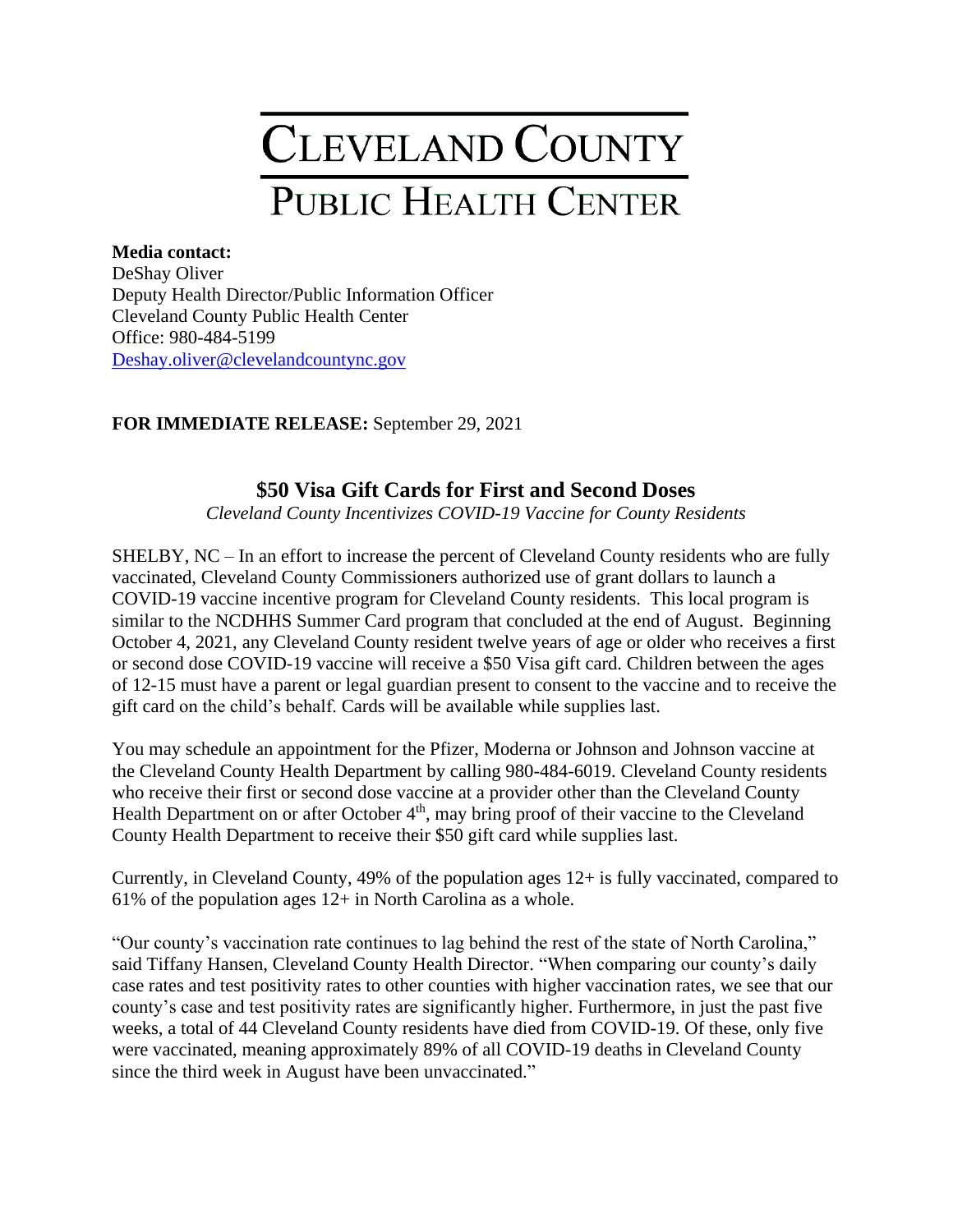## **CLEVELAND COUNTY** PUBLIC HEALTH CENTER

## **Media contact:**

DeShay Oliver Deputy Health Director/Public Information Officer Cleveland County Public Health Center Office: 980-484-5199 [Deshay.oliver@clevelandcountync.gov](mailto:Deshay.oliver@clevelandcountync.gov)

## **FOR IMMEDIATE RELEASE:** September 29, 2021

## **\$50 Visa Gift Cards for First and Second Doses**

*Cleveland County Incentivizes COVID-19 Vaccine for County Residents* 

SHELBY, NC – In an effort to increase the percent of Cleveland County residents who are fully vaccinated, Cleveland County Commissioners authorized use of grant dollars to launch a COVID-19 vaccine incentive program for Cleveland County residents. This local program is similar to the NCDHHS Summer Card program that concluded at the end of August. Beginning October 4, 2021, any Cleveland County resident twelve years of age or older who receives a first or second dose COVID-19 vaccine will receive a \$50 Visa gift card. Children between the ages of 12-15 must have a parent or legal guardian present to consent to the vaccine and to receive the gift card on the child's behalf. Cards will be available while supplies last.

You may schedule an appointment for the Pfizer, Moderna or Johnson and Johnson vaccine at the Cleveland County Health Department by calling 980-484-6019. Cleveland County residents who receive their first or second dose vaccine at a provider other than the Cleveland County Health Department on or after October  $4<sup>th</sup>$ , may bring proof of their vaccine to the Cleveland County Health Department to receive their \$50 gift card while supplies last.

Currently, in Cleveland County, 49% of the population ages 12+ is fully vaccinated, compared to 61% of the population ages  $12+$  in North Carolina as a whole.

"Our county's vaccination rate continues to lag behind the rest of the state of North Carolina," said Tiffany Hansen, Cleveland County Health Director. "When comparing our county's daily case rates and test positivity rates to other counties with higher vaccination rates, we see that our county's case and test positivity rates are significantly higher. Furthermore, in just the past five weeks, a total of 44 Cleveland County residents have died from COVID-19. Of these, only five were vaccinated, meaning approximately 89% of all COVID-19 deaths in Cleveland County since the third week in August have been unvaccinated."